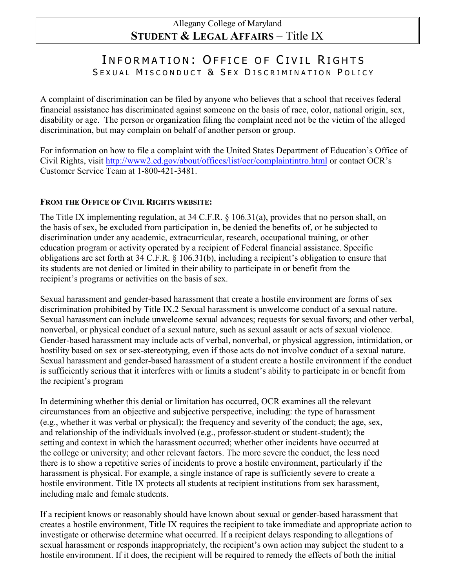## Allegany College of Maryland **STUDENT & LEGAL AFFAIRS** – Title IX

## INFORMATION: OFFICE OF CIVIL RIGHTS SEXUAL MISCONDUCT & SEX DISCRIMINATION POLICY

A complaint of discrimination can be filed by anyone who believes that a school that receives federal financial assistance has discriminated against someone on the basis of race, color, national origin, sex, disability or age. The person or organization filing the complaint need not be the victim of the alleged discrimination, but may complain on behalf of another person or group.

For information on how to file a complaint with the United States Department of Education's Office of Civil Rights, visi[t http://www2.ed.gov/about/offices/list/ocr/complaintintro.html](http://www2.ed.gov/about/offices/list/ocr/complaintintro.html) or contact OCR's Customer Service Team at 1-800-421-3481.

## **FROM THE OFFICE OF CIVIL RIGHTS WEBSITE:**

The Title IX implementing regulation, at 34 C.F.R. § 106.31(a), provides that no person shall, on the basis of sex, be excluded from participation in, be denied the benefits of, or be subjected to discrimination under any academic, extracurricular, research, occupational training, or other education program or activity operated by a recipient of Federal financial assistance. Specific obligations are set forth at 34 C.F.R. § 106.31(b), including a recipient's obligation to ensure that its students are not denied or limited in their ability to participate in or benefit from the recipient's programs or activities on the basis of sex.

Sexual harassment and gender-based harassment that create a hostile environment are forms of sex discrimination prohibited by Title IX.2 Sexual harassment is unwelcome conduct of a sexual nature. Sexual harassment can include unwelcome sexual advances; requests for sexual favors; and other verbal, nonverbal, or physical conduct of a sexual nature, such as sexual assault or acts of sexual violence. Gender-based harassment may include acts of verbal, nonverbal, or physical aggression, intimidation, or hostility based on sex or sex-stereotyping, even if those acts do not involve conduct of a sexual nature. Sexual harassment and gender-based harassment of a student create a hostile environment if the conduct is sufficiently serious that it interferes with or limits a student's ability to participate in or benefit from the recipient's program

In determining whether this denial or limitation has occurred, OCR examines all the relevant circumstances from an objective and subjective perspective, including: the type of harassment (e.g., whether it was verbal or physical); the frequency and severity of the conduct; the age, sex, and relationship of the individuals involved (e.g., professor-student or student-student); the setting and context in which the harassment occurred; whether other incidents have occurred at the college or university; and other relevant factors. The more severe the conduct, the less need there is to show a repetitive series of incidents to prove a hostile environment, particularly if the harassment is physical. For example, a single instance of rape is sufficiently severe to create a hostile environment. Title IX protects all students at recipient institutions from sex harassment, including male and female students.

If a recipient knows or reasonably should have known about sexual or gender-based harassment that creates a hostile environment, Title IX requires the recipient to take immediate and appropriate action to investigate or otherwise determine what occurred. If a recipient delays responding to allegations of sexual harassment or responds inappropriately, the recipient's own action may subject the student to a hostile environment. If it does, the recipient will be required to remedy the effects of both the initial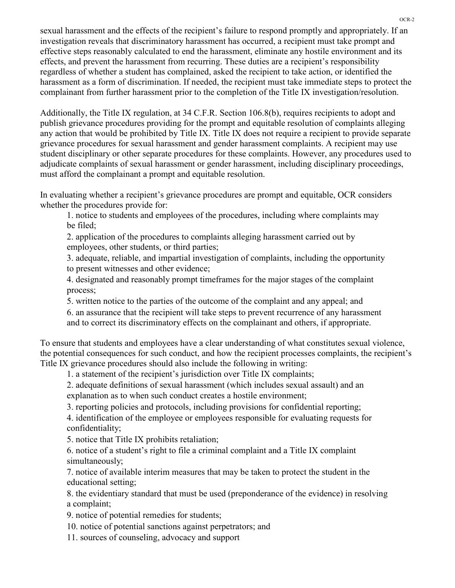sexual harassment and the effects of the recipient's failure to respond promptly and appropriately. If an investigation reveals that discriminatory harassment has occurred, a recipient must take prompt and effective steps reasonably calculated to end the harassment, eliminate any hostile environment and its effects, and prevent the harassment from recurring. These duties are a recipient's responsibility regardless of whether a student has complained, asked the recipient to take action, or identified the harassment as a form of discrimination. If needed, the recipient must take immediate steps to protect the complainant from further harassment prior to the completion of the Title IX investigation/resolution.

Additionally, the Title IX regulation, at 34 C.F.R. Section 106.8(b), requires recipients to adopt and publish grievance procedures providing for the prompt and equitable resolution of complaints alleging any action that would be prohibited by Title IX. Title IX does not require a recipient to provide separate grievance procedures for sexual harassment and gender harassment complaints. A recipient may use student disciplinary or other separate procedures for these complaints. However, any procedures used to adjudicate complaints of sexual harassment or gender harassment, including disciplinary proceedings, must afford the complainant a prompt and equitable resolution.

In evaluating whether a recipient's grievance procedures are prompt and equitable, OCR considers whether the procedures provide for:

1. notice to students and employees of the procedures, including where complaints may be filed;

2. application of the procedures to complaints alleging harassment carried out by employees, other students, or third parties;

3. adequate, reliable, and impartial investigation of complaints, including the opportunity to present witnesses and other evidence;

4. designated and reasonably prompt timeframes for the major stages of the complaint process;

5. written notice to the parties of the outcome of the complaint and any appeal; and

6. an assurance that the recipient will take steps to prevent recurrence of any harassment

and to correct its discriminatory effects on the complainant and others, if appropriate.

To ensure that students and employees have a clear understanding of what constitutes sexual violence, the potential consequences for such conduct, and how the recipient processes complaints, the recipient's Title IX grievance procedures should also include the following in writing:

1. a statement of the recipient's jurisdiction over Title IX complaints;

2. adequate definitions of sexual harassment (which includes sexual assault) and an explanation as to when such conduct creates a hostile environment;

3. reporting policies and protocols, including provisions for confidential reporting;

4. identification of the employee or employees responsible for evaluating requests for confidentiality;

5. notice that Title IX prohibits retaliation;

6. notice of a student's right to file a criminal complaint and a Title IX complaint simultaneously;

7. notice of available interim measures that may be taken to protect the student in the educational setting;

8. the evidentiary standard that must be used (preponderance of the evidence) in resolving a complaint;

9. notice of potential remedies for students;

10. notice of potential sanctions against perpetrators; and

11. sources of counseling, advocacy and support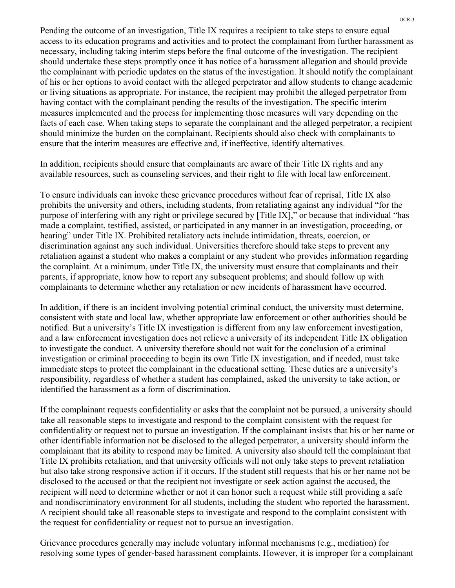Pending the outcome of an investigation, Title IX requires a recipient to take steps to ensure equal access to its education programs and activities and to protect the complainant from further harassment as necessary, including taking interim steps before the final outcome of the investigation. The recipient should undertake these steps promptly once it has notice of a harassment allegation and should provide the complainant with periodic updates on the status of the investigation. It should notify the complainant of his or her options to avoid contact with the alleged perpetrator and allow students to change academic or living situations as appropriate. For instance, the recipient may prohibit the alleged perpetrator from having contact with the complainant pending the results of the investigation. The specific interim measures implemented and the process for implementing those measures will vary depending on the facts of each case. When taking steps to separate the complainant and the alleged perpetrator, a recipient should minimize the burden on the complainant. Recipients should also check with complainants to ensure that the interim measures are effective and, if ineffective, identify alternatives.

In addition, recipients should ensure that complainants are aware of their Title IX rights and any available resources, such as counseling services, and their right to file with local law enforcement.

To ensure individuals can invoke these grievance procedures without fear of reprisal, Title IX also prohibits the university and others, including students, from retaliating against any individual "for the purpose of interfering with any right or privilege secured by [Title IX]," or because that individual "has made a complaint, testified, assisted, or participated in any manner in an investigation, proceeding, or hearing" under Title IX. Prohibited retaliatory acts include intimidation, threats, coercion, or discrimination against any such individual. Universities therefore should take steps to prevent any retaliation against a student who makes a complaint or any student who provides information regarding the complaint. At a minimum, under Title IX, the university must ensure that complainants and their parents, if appropriate, know how to report any subsequent problems; and should follow up with complainants to determine whether any retaliation or new incidents of harassment have occurred.

In addition, if there is an incident involving potential criminal conduct, the university must determine, consistent with state and local law, whether appropriate law enforcement or other authorities should be notified. But a university's Title IX investigation is different from any law enforcement investigation, and a law enforcement investigation does not relieve a university of its independent Title IX obligation to investigate the conduct. A university therefore should not wait for the conclusion of a criminal investigation or criminal proceeding to begin its own Title IX investigation, and if needed, must take immediate steps to protect the complainant in the educational setting. These duties are a university's responsibility, regardless of whether a student has complained, asked the university to take action, or identified the harassment as a form of discrimination.

If the complainant requests confidentiality or asks that the complaint not be pursued, a university should take all reasonable steps to investigate and respond to the complaint consistent with the request for confidentiality or request not to pursue an investigation. If the complainant insists that his or her name or other identifiable information not be disclosed to the alleged perpetrator, a university should inform the complainant that its ability to respond may be limited. A university also should tell the complainant that Title IX prohibits retaliation, and that university officials will not only take steps to prevent retaliation but also take strong responsive action if it occurs. If the student still requests that his or her name not be disclosed to the accused or that the recipient not investigate or seek action against the accused, the recipient will need to determine whether or not it can honor such a request while still providing a safe and nondiscriminatory environment for all students, including the student who reported the harassment. A recipient should take all reasonable steps to investigate and respond to the complaint consistent with the request for confidentiality or request not to pursue an investigation.

Grievance procedures generally may include voluntary informal mechanisms (e.g., mediation) for resolving some types of gender-based harassment complaints. However, it is improper for a complainant